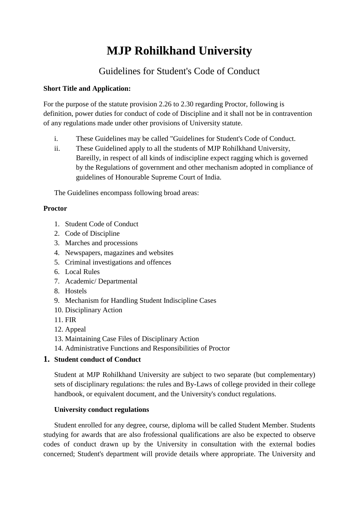# **MJP Rohilkhand University**

# Guidelines for Student's Code of Conduct

# **Short Title and Application:**

For the purpose of the statute provision 2.26 to 2.30 regarding Proctor, following is definition, power duties for conduct of code of Discipline and it shall not be in contravention of any regulations made under other provisions of University statute.

- i. These Guidelines may be called "Guidelines for Student's Code of Conduct.
- ii. These Guidelined apply to all the students of MJP Rohilkhand University, Bareilly, in respect of all kinds of indiscipline expect ragging which is governed by the Regulations of government and other mechanism adopted in compliance of guidelines of Honourable Supreme Court of India.

The Guidelines encompass following broad areas:

# **Proctor**

- 1. Student Code of Conduct
- 2. Code of Discipline
- 3. Marches and processions
- 4. Newspapers, magazines and websites
- 5. Criminal investigations and offences
- 6. Local Rules
- 7. Academic/ Departmental
- 8. Hostels
- 9. Mechanism for Handling Student Indiscipline Cases
- 10. Disciplinary Action
- 11. FIR
- 12. Appeal
- 13. Maintaining Case Files of Disciplinary Action
- 14. Administrative Functions and Responsibilities of Proctor

# **1. Student conduct of Conduct**

Student at MJP Rohilkhand University are subject to two separate (but complementary) sets of disciplinary regulations: the rules and By-Laws of college provided in their college handbook, or equivalent document, and the University's conduct regulations.

# **University conduct regulations**

Student enrolled for any degree, course, diploma will be called Student Member. Students studying for awards that are also frofessional qualifications are also be expected to observe codes of conduct drawn up by the University in consultation with the external bodies concerned; Student's department will provide details where appropriate. The University and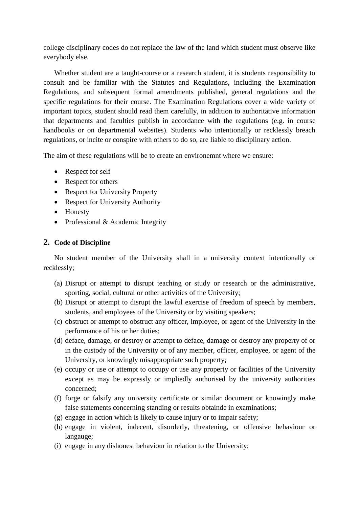college disciplinary codes do not replace the law of the land which student must observe like everybody else.

Whether student are a taught-course or a research student, it is students responsibility to consult and be familiar with the Statutes and Regulations, including the Examination Regulations, and subsequent formal amendments published, general regulations and the specific regulations for their course. The Examination Regulations cover a wide variety of important topics, student should read them carefully, in addition to authoritative information that departments and faculties publish in accordance with the regulations (e.g. in course handbooks or on departmental websites). Students who intentionally or recklessly breach regulations, or incite or conspire with others to do so, are liable to disciplinary action.

The aim of these regulations will be to create an environemnt where we ensure:

- Respect for self
- Respect for others
- Respect for University Property
- Respect for University Authority
- Honesty
- Professional & Academic Integrity

#### **2. Code of Discipline**

No student member of the University shall in a university context intentionally or recklessly;

- (a) Disrupt or attempt to disrupt teaching or study or research or the administrative, sporting, social, cultural or other activities of the University;
- (b) Disrupt or attempt to disrupt the lawful exercise of freedom of speech by members, students, and employees of the University or by visiting speakers;
- (c) obstruct or attempt to obstruct any officer, imployee, or agent of the University in the performance of his or her duties;
- (d) deface, damage, or destroy or attempt to deface, damage or destroy any property of or in the custody of the University or of any member, officer, employee, or agent of the University, or knowingly misappropriate such property;
- (e) occupy or use or attempt to occupy or use any property or facilities of the University except as may be expressly or impliedly authorised by the university authorities concerned;
- (f) forge or falsify any university certificate or similar document or knowingly make false statements concerning standing or results obtainde in examinations;
- (g) engage in action which is likely to cause injury or to impair safety;
- (h) engage in violent, indecent, disorderly, threatening, or offensive behaviour or langauge;
- (i) engage in any dishonest behaviour in relation to the University;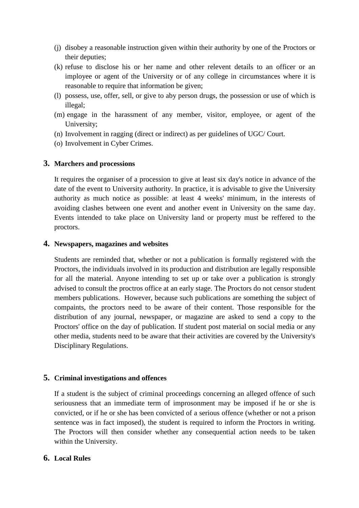- (j) disobey a reasonable instruction given within their authority by one of the Proctors or their deputies;
- (k) refuse to disclose his or her name and other relevent details to an officer or an imployee or agent of the University or of any college in circumstances where it is reasonable to require that information be given;
- (l) possess, use, offer, sell, or give to aby person drugs, the possession or use of which is illegal;
- (m) engage in the harassment of any member, visitor, employee, or agent of the University;
- (n) Involvement in ragging (direct or indirect) as per guidelines of UGC/ Court.
- (o) Involvement in Cyber Crimes.

#### **3. Marchers and processions**

It requires the organiser of a procession to give at least six day's notice in advance of the date of the event to University authority. In practice, it is advisable to give the University authority as much notice as possible: at least 4 weeks' minimum, in the interests of avoiding clashes between one event and another event in University on the same day. Events intended to take place on University land or property must be reffered to the proctors.

#### **4. Newspapers, magazines and websites**

Students are reminded that, whether or not a publication is formally registered with the Proctors, the individuals involved in its production and distribution are legally responsible for all the material. Anyone intending to set up or take over a publication is strongly advised to consult the proctros office at an early stage. The Proctors do not censor student members publications. However, because such publications are something the subject of compaints, the proctors need to be aware of their content. Those responsible for the distribution of any journal, newspaper, or magazine are asked to send a copy to the Proctors' office on the day of publication. If student post material on social media or any other media, students need to be aware that their activities are covered by the University's Disciplinary Regulations.

#### **5. Criminal investigations and offences**

If a student is the subject of criminal proceedings concerning an alleged offence of such seriousness that an immediate term of improsonment may be imposed if he or she is convicted, or if he or she has been convicted of a serious offence (whether or not a prison sentence was in fact imposed), the student is required to inform the Proctors in writing. The Proctors will then consider whether any consequential action needs to be taken within the University.

## **6. Local Rules**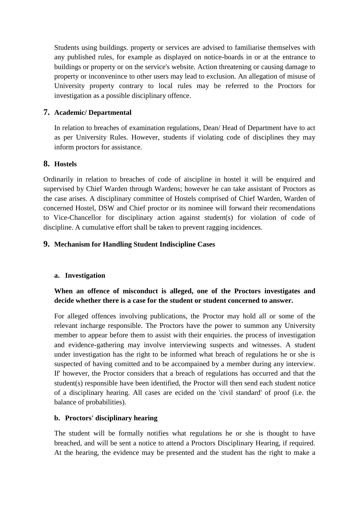Students using buildings. property or services are advised to familiarise themselves with any published rules, for example as displayed on notice-boards in or at the entrance to buildings or property or on the service's website. Action threatening or causing damage to property or inconvenince to other users may lead to exclusion. An allegation of misuse of University property contrary to local rules may be referred to the Proctors for investigation as a possible disciplinary offence.

#### **7. Academic/ Departmental**

In relation to breaches of examination regulations, Dean/ Head of Department have to act as per University Rules. However, students if violating code of disciplines they may inform proctors for assistance.

#### **8. Hostels**

Ordinarily in relation to breaches of code of aiscipline in hostel it will be enquired and supervised by Chief Warden through Wardens; however he can take assistant of Proctors as the case arises. A disciplinary committee of Hostels comprised of Chief Warden, Warden of concerned Hostel, DSW and Chief proctor or its nominee will forward their recomendations to Vice-Chancellor for disciplinary action against student(s) for violation of code of discipline. A cumulative effort shall be taken to prevent ragging incidences.

## **9. Mechanism for Handling Student Indiscipline Cases**

#### **a. Investigation**

# **When an offence of misconduct is alleged, one of the Proctors investigates and decide whether there is a case for the student or student concerned to answer.**

For alleged offences involving publications, the Proctor may hold all or some of the relevant incharge responsible. The Proctors have the power to summon any University member to appear before them to assist with their enquiries. the process of investigation and evidence-gathering may involve interviewing suspects and witnesses. A student under investigation has the right to be informed what breach of regulations he or she is suspected of having comitted and to be accompained by a member during any interview. If' however, the Proctor considers that a breach of regulations has occurred and that the student(s) responsible have been identified, the Proctor will then send each student notice of a disciplinary hearing. All cases are ecided on the 'civil standard' of proof (i.e. the balance of probabilities).

#### **b. Proctors' disciplinary hearing**

The student will be formally notifies what regulations he or she is thought to have breached, and will be sent a notice to attend a Proctors Disciplinary Hearing, if required. At the hearing, the evidence may be presented and the student has the right to make a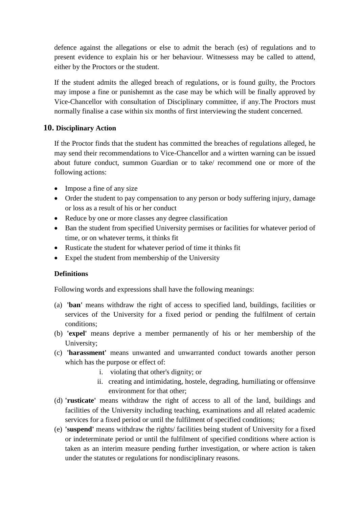defence against the allegations or else to admit the berach (es) of regulations and to present evidence to explain his or her behaviour. Witnessess may be called to attend, either by the Proctors or the student.

If the student admits the alleged breach of regulations, or is found guilty, the Proctors may impose a fine or punishemnt as the case may be which will be finally approved by Vice-Chancellor with consultation of Disciplinary committee, if any.The Proctors must normally finalise a case within six months of first interviewing the student concerned.

#### **10. Disciplinary Action**

If the Proctor finds that the student has committed the breaches of regulations alleged, he may send their recommendations to Vice-Chancellor and a wirtten warning can be issued about future conduct, summon Guardian or to take/ recommend one or more of the following actions:

- Impose a fine of any size
- Order the student to pay compensation to any person or body suffering injury, damage or loss as a result of his or her conduct
- Reduce by one or more classes any degree classification
- Ban the student from specified University permises or facilities for whatever period of time, or on whatever terms, it thinks fit
- Rusticate the student for whatever period of time it thinks fit
- Expel the student from membership of the University

#### **Definitions**

Following words and expressions shall have the following meanings:

- (a) **'ban'** means withdraw the right of access to specified land, buildings, facilities or services of the University for a fixed period or pending the fulfilment of certain conditions;
- (b) **'expel'** means deprive a member permanently of his or her membership of the University;
- (c) **'harassment'** means unwanted and unwarranted conduct towards another person which has the purpose or effect of:
	- i. violating that other's dignity; or
	- ii. creating and intimidating, hostele, degrading, humiliating or offensinve environment for that other;
- (d) **'rusticate'** means withdraw the right of access to all of the land, buildings and facilities of the University including teaching, examinations and all related academic services for a fixed period or until the fulfilment of specified conditions;
- (e) **'suspend'** means withdraw the rights/ facilities being student of University for a fixed or indeterminate period or until the fulfilment of specified conditions where action is taken as an interim measure pending further investigation, or where action is taken under the statutes or regulations for nondisciplinary reasons.